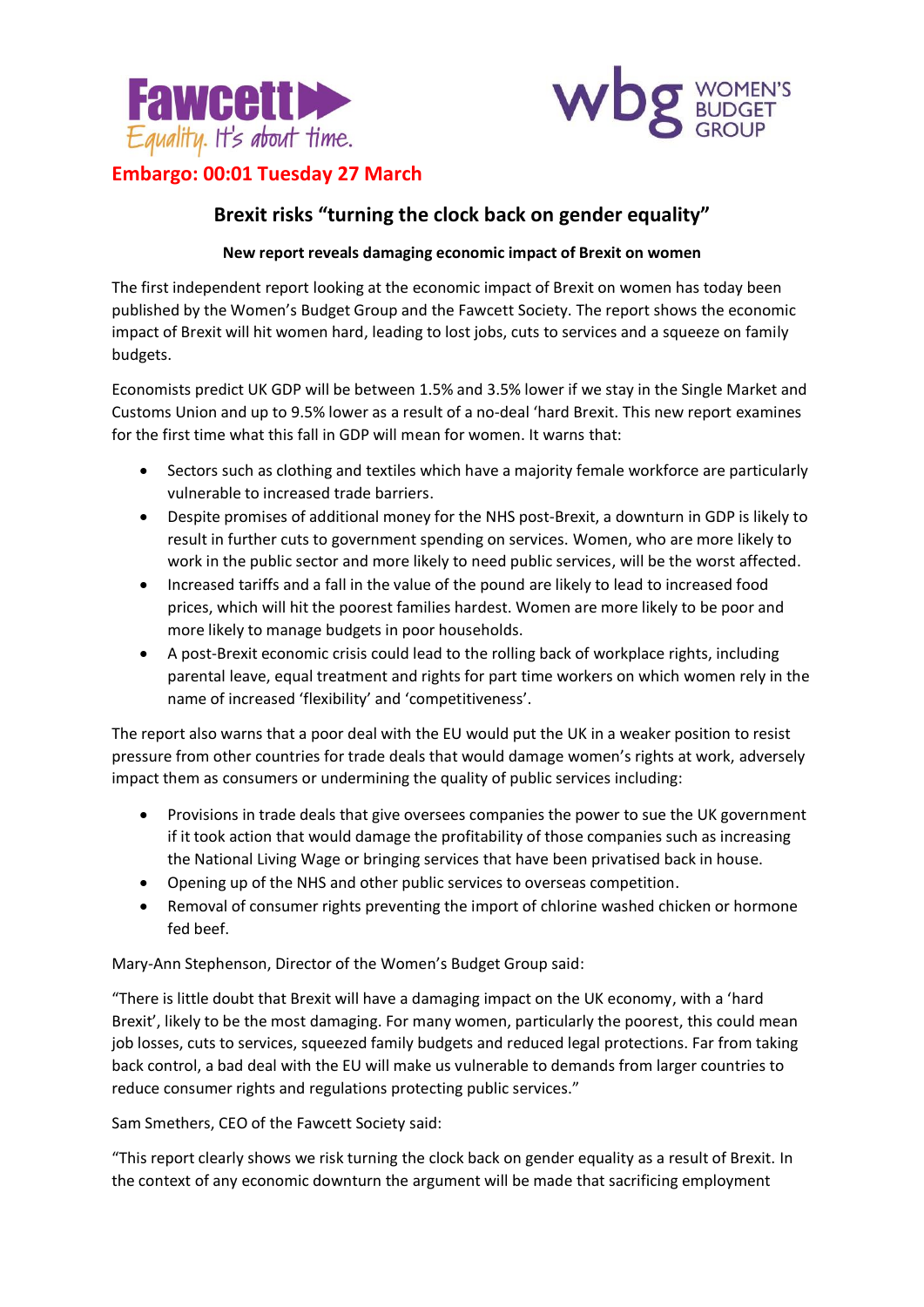



# **Embargo: 00:01 Tuesday 27 March**

# **Brexit risks "turning the clock back on gender equality"**

# **New report reveals damaging economic impact of Brexit on women**

The first independent report looking at the economic impact of Brexit on women has today been published by the Women's Budget Group and the Fawcett Society. The report shows the economic impact of Brexit will hit women hard, leading to lost jobs, cuts to services and a squeeze on family budgets.

Economists predict UK GDP will be between 1.5% and 3.5% lower if we stay in the Single Market and Customs Union and up to 9.5% lower as a result of a no-deal 'hard Brexit. This new report examines for the first time what this fall in GDP will mean for women. It warns that:

- Sectors such as clothing and textiles which have a majority female workforce are particularly vulnerable to increased trade barriers.
- Despite promises of additional money for the NHS post-Brexit, a downturn in GDP is likely to result in further cuts to government spending on services. Women, who are more likely to work in the public sector and more likely to need public services, will be the worst affected.
- Increased tariffs and a fall in the value of the pound are likely to lead to increased food prices, which will hit the poorest families hardest. Women are more likely to be poor and more likely to manage budgets in poor households.
- A post-Brexit economic crisis could lead to the rolling back of workplace rights, including parental leave, equal treatment and rights for part time workers on which women rely in the name of increased 'flexibility' and 'competitiveness'.

The report also warns that a poor deal with the EU would put the UK in a weaker position to resist pressure from other countries for trade deals that would damage women's rights at work, adversely impact them as consumers or undermining the quality of public services including:

- Provisions in trade deals that give oversees companies the power to sue the UK government if it took action that would damage the profitability of those companies such as increasing the National Living Wage or bringing services that have been privatised back in house.
- Opening up of the NHS and other public services to overseas competition.
- Removal of consumer rights preventing the import of chlorine washed chicken or hormone fed beef.

Mary-Ann Stephenson, Director of the Women's Budget Group said:

"There is little doubt that Brexit will have a damaging impact on the UK economy, with a 'hard Brexit', likely to be the most damaging. For many women, particularly the poorest, this could mean job losses, cuts to services, squeezed family budgets and reduced legal protections. Far from taking back control, a bad deal with the EU will make us vulnerable to demands from larger countries to reduce consumer rights and regulations protecting public services."

Sam Smethers, CEO of the Fawcett Society said:

"This report clearly shows we risk turning the clock back on gender equality as a result of Brexit. In the context of any economic downturn the argument will be made that sacrificing employment